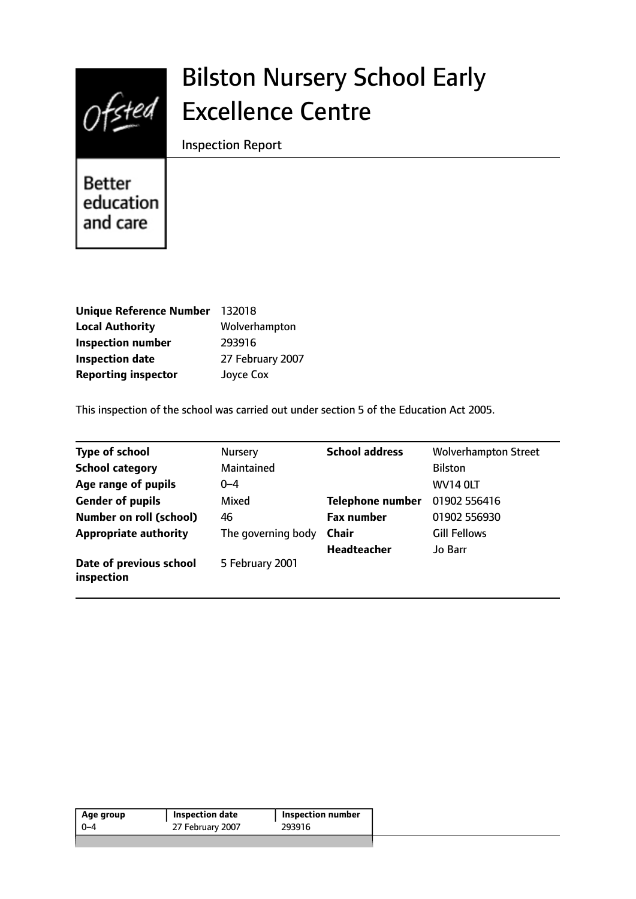

# Bilston Nursery School Early Excellence Centre

Inspection Report

Better education and care

| Unique Reference Number 132018 |                  |
|--------------------------------|------------------|
| <b>Local Authority</b>         | Wolverhampton    |
| <b>Inspection number</b>       | 293916           |
| <b>Inspection date</b>         | 27 February 2007 |
| <b>Reporting inspector</b>     | Joyce Cox        |

This inspection of the school was carried out under section 5 of the Education Act 2005.

| <b>Type of school</b>                 | <b>Nursery</b>     | <b>School address</b>   | <b>Wolverhampton Street</b> |
|---------------------------------------|--------------------|-------------------------|-----------------------------|
| <b>School category</b>                | Maintained         |                         | <b>Bilston</b>              |
| Age range of pupils                   | $0 - 4$            |                         | <b>WV14 OLT</b>             |
| <b>Gender of pupils</b>               | Mixed              | <b>Telephone number</b> | 01902 556416                |
| Number on roll (school)               | 46                 | <b>Fax number</b>       | 01902 556930                |
| <b>Appropriate authority</b>          | The governing body | Chair                   | <b>Gill Fellows</b>         |
|                                       |                    | <b>Headteacher</b>      | Jo Barr                     |
| Date of previous school<br>inspection | 5 February 2001    |                         |                             |

| Age group | Inspection date  | Inspection number |  |
|-----------|------------------|-------------------|--|
| በ–4       | 27 February 2007 | 293916            |  |
|           |                  |                   |  |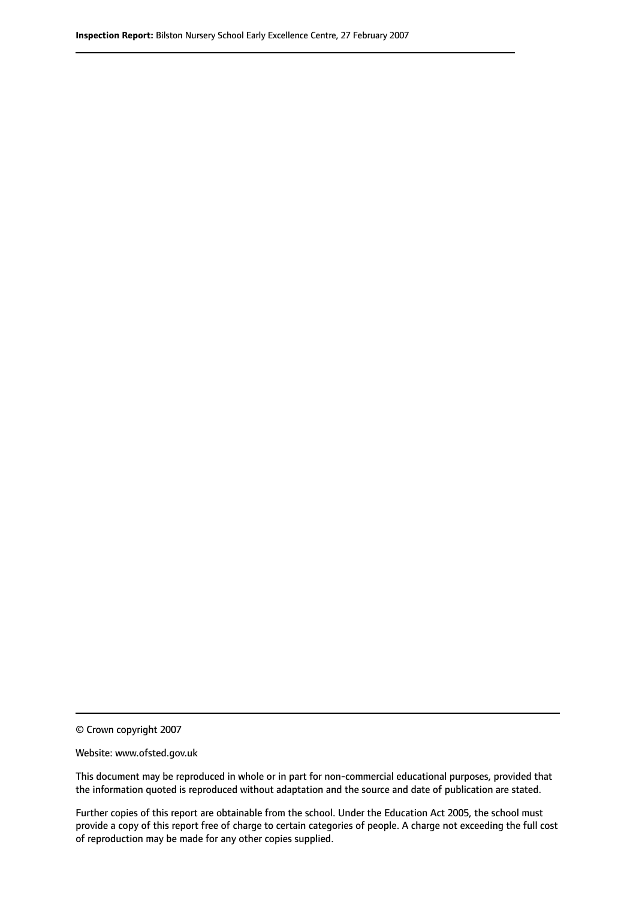© Crown copyright 2007

Website: www.ofsted.gov.uk

This document may be reproduced in whole or in part for non-commercial educational purposes, provided that the information quoted is reproduced without adaptation and the source and date of publication are stated.

Further copies of this report are obtainable from the school. Under the Education Act 2005, the school must provide a copy of this report free of charge to certain categories of people. A charge not exceeding the full cost of reproduction may be made for any other copies supplied.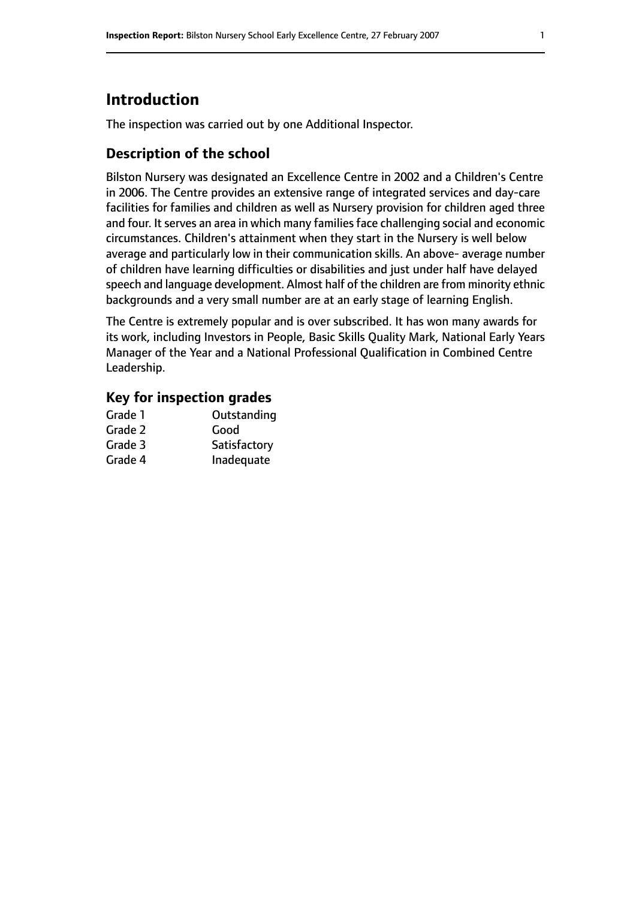# **Introduction**

The inspection was carried out by one Additional Inspector.

## **Description of the school**

Bilston Nursery was designated an Excellence Centre in 2002 and a Children's Centre in 2006. The Centre provides an extensive range of integrated services and day-care facilities for families and children as well as Nursery provision for children aged three and four. It serves an area in which many families face challenging social and economic circumstances. Children's attainment when they start in the Nursery is well below average and particularly low in their communication skills. An above- average number of children have learning difficulties or disabilities and just under half have delayed speech and language development. Almost half of the children are from minority ethnic backgrounds and a very small number are at an early stage of learning English.

The Centre is extremely popular and is over subscribed. It has won many awards for its work, including Investors in People, Basic Skills Quality Mark, National Early Years Manager of the Year and a National Professional Qualification in Combined Centre Leadership.

#### **Key for inspection grades**

| Grade 1 | Outstanding  |
|---------|--------------|
| Grade 2 | Good         |
| Grade 3 | Satisfactory |
| Grade 4 | Inadequate   |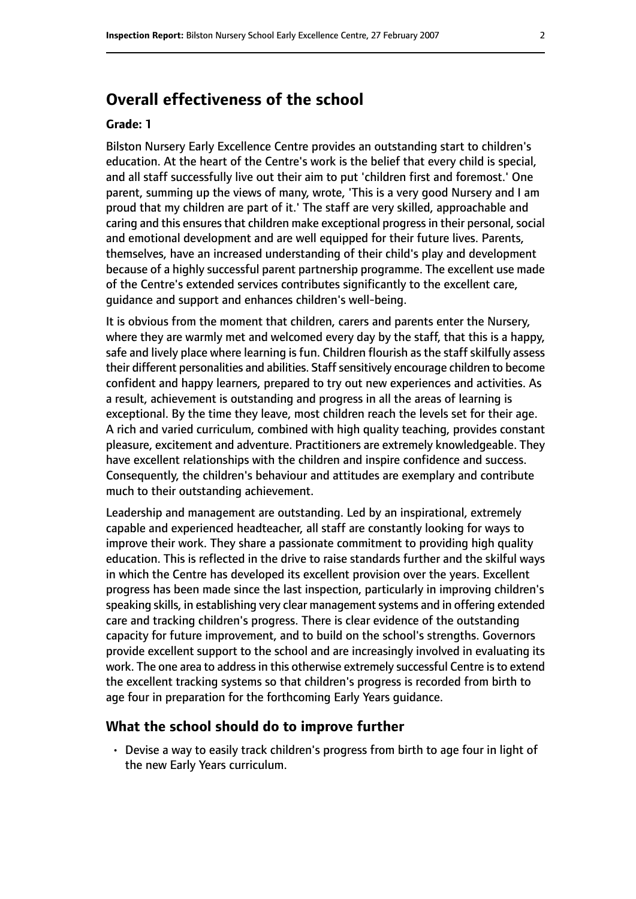# **Overall effectiveness of the school**

#### **Grade: 1**

Bilston Nursery Early Excellence Centre provides an outstanding start to children's education. At the heart of the Centre's work is the belief that every child is special, and all staff successfully live out their aim to put 'children first and foremost.' One parent, summing up the views of many, wrote, 'This is a very good Nursery and I am proud that my children are part of it.' The staff are very skilled, approachable and caring and this ensures that children make exceptional progress in their personal, social and emotional development and are well equipped for their future lives. Parents, themselves, have an increased understanding of their child's play and development because of a highly successful parent partnership programme. The excellent use made of the Centre's extended services contributes significantly to the excellent care, guidance and support and enhances children's well-being.

It is obvious from the moment that children, carers and parents enter the Nursery, where they are warmly met and welcomed every day by the staff, that this is a happy, safe and lively place where learning is fun. Children flourish as the staff skilfully assess their different personalities and abilities. Staff sensitively encourage children to become confident and happy learners, prepared to try out new experiences and activities. As a result, achievement is outstanding and progress in all the areas of learning is exceptional. By the time they leave, most children reach the levels set for their age. A rich and varied curriculum, combined with high quality teaching, provides constant pleasure, excitement and adventure. Practitioners are extremely knowledgeable. They have excellent relationships with the children and inspire confidence and success. Consequently, the children's behaviour and attitudes are exemplary and contribute much to their outstanding achievement.

Leadership and management are outstanding. Led by an inspirational, extremely capable and experienced headteacher, all staff are constantly looking for ways to improve their work. They share a passionate commitment to providing high quality education. This is reflected in the drive to raise standards further and the skilful ways in which the Centre has developed its excellent provision over the years. Excellent progress has been made since the last inspection, particularly in improving children's speaking skills, in establishing very clear management systems and in offering extended care and tracking children's progress. There is clear evidence of the outstanding capacity for future improvement, and to build on the school's strengths. Governors provide excellent support to the school and are increasingly involved in evaluating its work. The one area to address in this otherwise extremely successful Centre is to extend the excellent tracking systems so that children's progress is recorded from birth to age four in preparation for the forthcoming Early Years guidance.

#### **What the school should do to improve further**

• Devise a way to easily track children's progress from birth to age four in light of the new Early Years curriculum.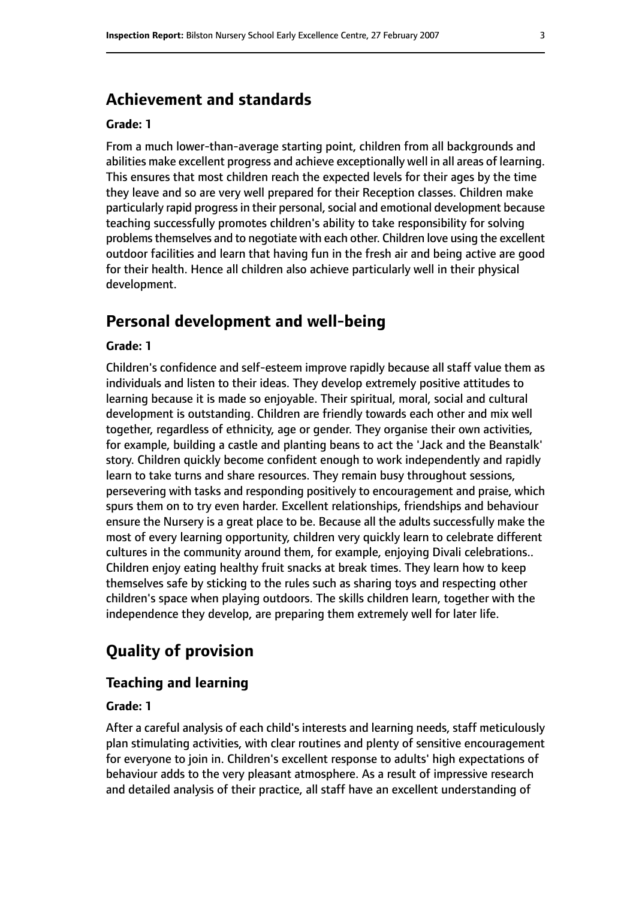## **Achievement and standards**

#### **Grade: 1**

From a much lower-than-average starting point, children from all backgrounds and abilities make excellent progress and achieve exceptionally well in all areas of learning. This ensures that most children reach the expected levels for their ages by the time they leave and so are very well prepared for their Reception classes. Children make particularly rapid progress in their personal, social and emotional development because teaching successfully promotes children's ability to take responsibility for solving problems themselves and to negotiate with each other. Children love using the excellent outdoor facilities and learn that having fun in the fresh air and being active are good for their health. Hence all children also achieve particularly well in their physical development.

# **Personal development and well-being**

#### **Grade: 1**

Children's confidence and self-esteem improve rapidly because all staff value them as individuals and listen to their ideas. They develop extremely positive attitudes to learning because it is made so enjoyable. Their spiritual, moral, social and cultural development is outstanding. Children are friendly towards each other and mix well together, regardless of ethnicity, age or gender. They organise their own activities, for example, building a castle and planting beans to act the 'Jack and the Beanstalk' story. Children quickly become confident enough to work independently and rapidly learn to take turns and share resources. They remain busy throughout sessions, persevering with tasks and responding positively to encouragement and praise, which spurs them on to try even harder. Excellent relationships, friendships and behaviour ensure the Nursery is a great place to be. Because all the adults successfully make the most of every learning opportunity, children very quickly learn to celebrate different cultures in the community around them, for example, enjoying Divali celebrations.. Children enjoy eating healthy fruit snacks at break times. They learn how to keep themselves safe by sticking to the rules such as sharing toys and respecting other children's space when playing outdoors. The skills children learn, together with the independence they develop, are preparing them extremely well for later life.

# **Quality of provision**

#### **Teaching and learning**

#### **Grade: 1**

After a careful analysis of each child's interests and learning needs, staff meticulously plan stimulating activities, with clear routines and plenty of sensitive encouragement for everyone to join in. Children's excellent response to adults' high expectations of behaviour adds to the very pleasant atmosphere. As a result of impressive research and detailed analysis of their practice, all staff have an excellent understanding of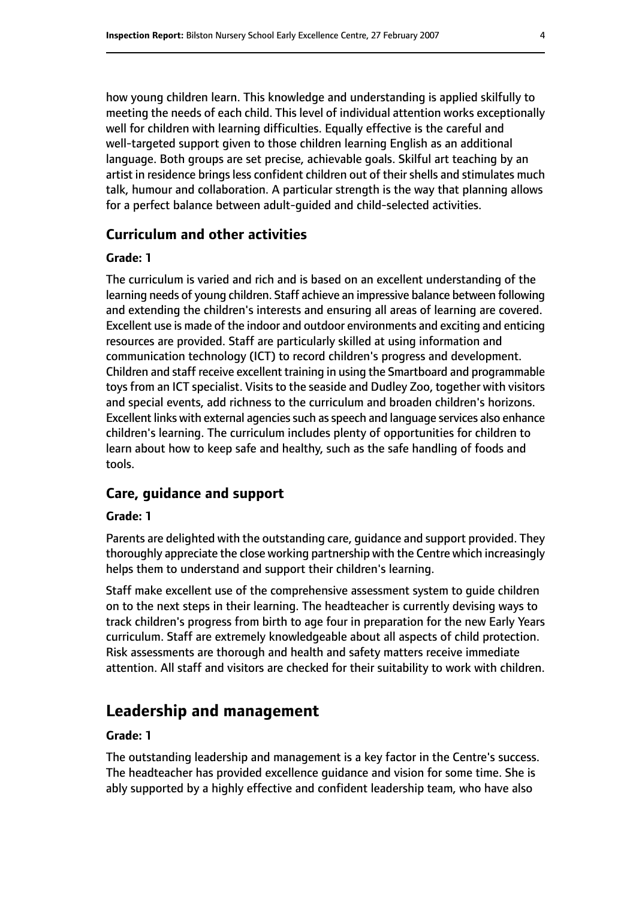how young children learn. This knowledge and understanding is applied skilfully to meeting the needs of each child. This level of individual attention works exceptionally well for children with learning difficulties. Equally effective is the careful and well-targeted support given to those children learning English as an additional language. Both groups are set precise, achievable goals. Skilful art teaching by an artist in residence brings less confident children out of their shells and stimulates much talk, humour and collaboration. A particular strength is the way that planning allows for a perfect balance between adult-guided and child-selected activities.

#### **Curriculum and other activities**

#### **Grade: 1**

The curriculum is varied and rich and is based on an excellent understanding of the learning needs of young children. Staff achieve an impressive balance between following and extending the children's interests and ensuring all areas of learning are covered. Excellent use is made of the indoor and outdoor environments and exciting and enticing resources are provided. Staff are particularly skilled at using information and communication technology (ICT) to record children's progress and development. Children and staff receive excellent training in using the Smartboard and programmable toys from an ICT specialist. Visits to the seaside and Dudley Zoo, together with visitors and special events, add richness to the curriculum and broaden children's horizons. Excellent links with external agencies such as speech and language services also enhance children's learning. The curriculum includes plenty of opportunities for children to learn about how to keep safe and healthy, such as the safe handling of foods and tools.

#### **Care, guidance and support**

#### **Grade: 1**

Parents are delighted with the outstanding care, guidance and support provided. They thoroughly appreciate the close working partnership with the Centre which increasingly helps them to understand and support their children's learning.

Staff make excellent use of the comprehensive assessment system to guide children on to the next steps in their learning. The headteacher is currently devising ways to track children's progress from birth to age four in preparation for the new Early Years curriculum. Staff are extremely knowledgeable about all aspects of child protection. Risk assessments are thorough and health and safety matters receive immediate attention. All staff and visitors are checked for their suitability to work with children.

# **Leadership and management**

#### **Grade: 1**

The outstanding leadership and management is a key factor in the Centre's success. The headteacher has provided excellence guidance and vision for some time. She is ably supported by a highly effective and confident leadership team, who have also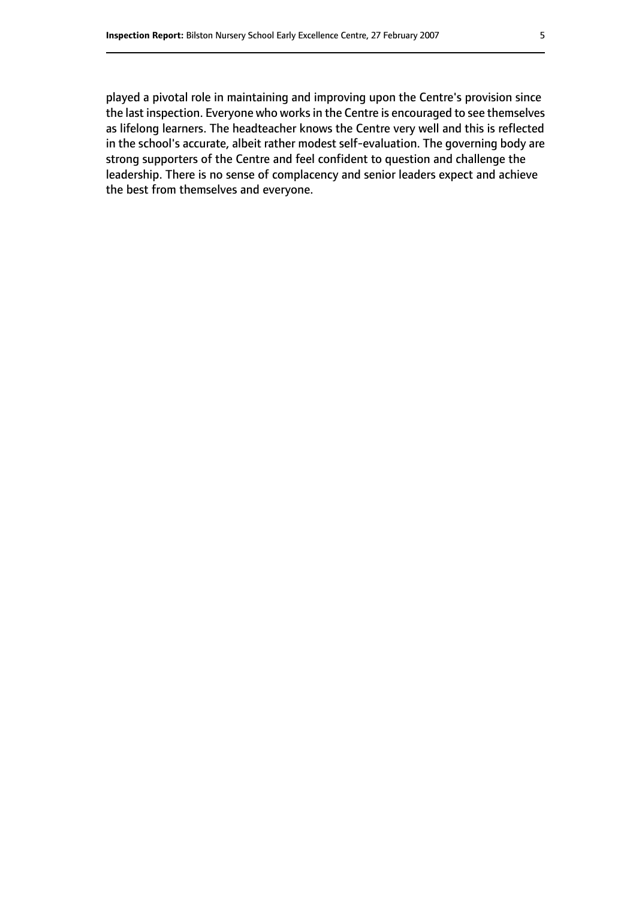played a pivotal role in maintaining and improving upon the Centre's provision since the last inspection. Everyone who worksin the Centre is encouraged to see themselves as lifelong learners. The headteacher knows the Centre very well and this is reflected in the school's accurate, albeit rather modest self-evaluation. The governing body are strong supporters of the Centre and feel confident to question and challenge the leadership. There is no sense of complacency and senior leaders expect and achieve the best from themselves and everyone.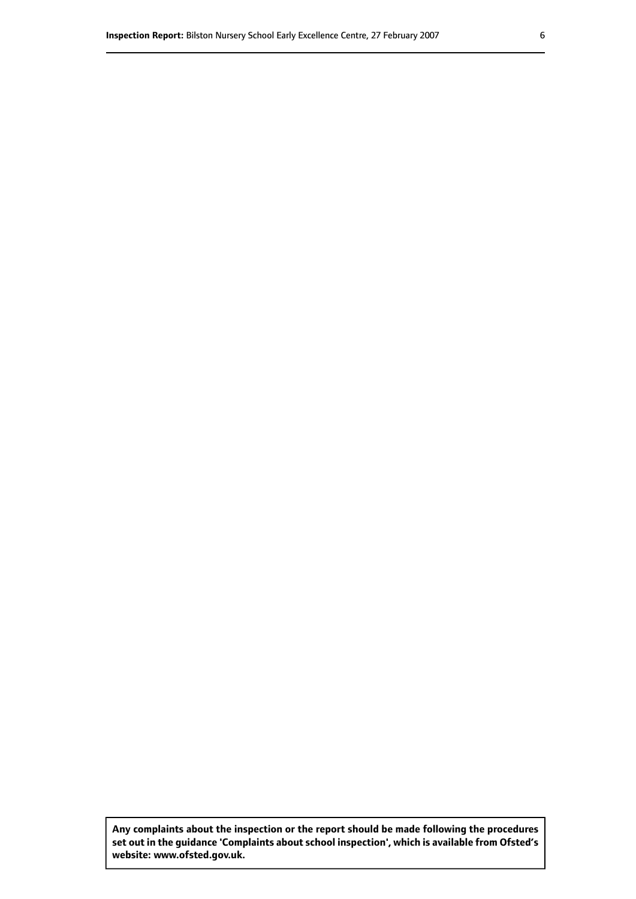**Any complaints about the inspection or the report should be made following the procedures set out inthe guidance 'Complaints about school inspection', whichis available from Ofsted's website: www.ofsted.gov.uk.**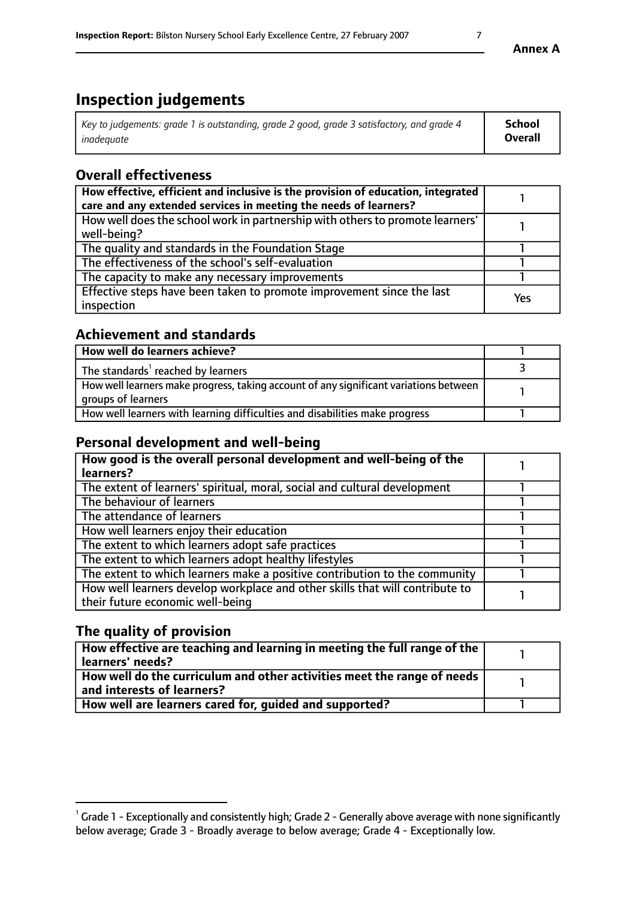# **Inspection judgements**

| Key to judgements: grade 1 is outstanding, grade 2 good, grade 3 satisfactory, and grade 4 | School         |
|--------------------------------------------------------------------------------------------|----------------|
| inadequate                                                                                 | <b>Overall</b> |

# **Overall effectiveness**

| How effective, efficient and inclusive is the provision of education, integrated<br>care and any extended services in meeting the needs of learners? |     |
|------------------------------------------------------------------------------------------------------------------------------------------------------|-----|
| How well does the school work in partnership with others to promote learners'<br>well-being?                                                         |     |
| The quality and standards in the Foundation Stage                                                                                                    |     |
| The effectiveness of the school's self-evaluation                                                                                                    |     |
| The capacity to make any necessary improvements                                                                                                      |     |
| Effective steps have been taken to promote improvement since the last<br>inspection                                                                  | Yes |

## **Achievement and standards**

| How well do learners achieve?                                                                               |  |
|-------------------------------------------------------------------------------------------------------------|--|
| The standards <sup>1</sup> reached by learners                                                              |  |
| How well learners make progress, taking account of any significant variations between<br>groups of learners |  |
| How well learners with learning difficulties and disabilities make progress                                 |  |

## **Personal development and well-being**

| How good is the overall personal development and well-being of the<br>learners?                                  |  |
|------------------------------------------------------------------------------------------------------------------|--|
| The extent of learners' spiritual, moral, social and cultural development                                        |  |
| The behaviour of learners                                                                                        |  |
| The attendance of learners                                                                                       |  |
| How well learners enjoy their education                                                                          |  |
| The extent to which learners adopt safe practices                                                                |  |
| The extent to which learners adopt healthy lifestyles                                                            |  |
| The extent to which learners make a positive contribution to the community                                       |  |
| How well learners develop workplace and other skills that will contribute to<br>their future economic well-being |  |

## **The quality of provision**

| How effective are teaching and learning in meeting the full range of the<br>  learners' needs?                      |  |
|---------------------------------------------------------------------------------------------------------------------|--|
| $\mid$ How well do the curriculum and other activities meet the range of needs<br>$\mid$ and interests of learners? |  |
| How well are learners cared for, guided and supported?                                                              |  |

 $^1$  Grade 1 - Exceptionally and consistently high; Grade 2 - Generally above average with none significantly below average; Grade 3 - Broadly average to below average; Grade 4 - Exceptionally low.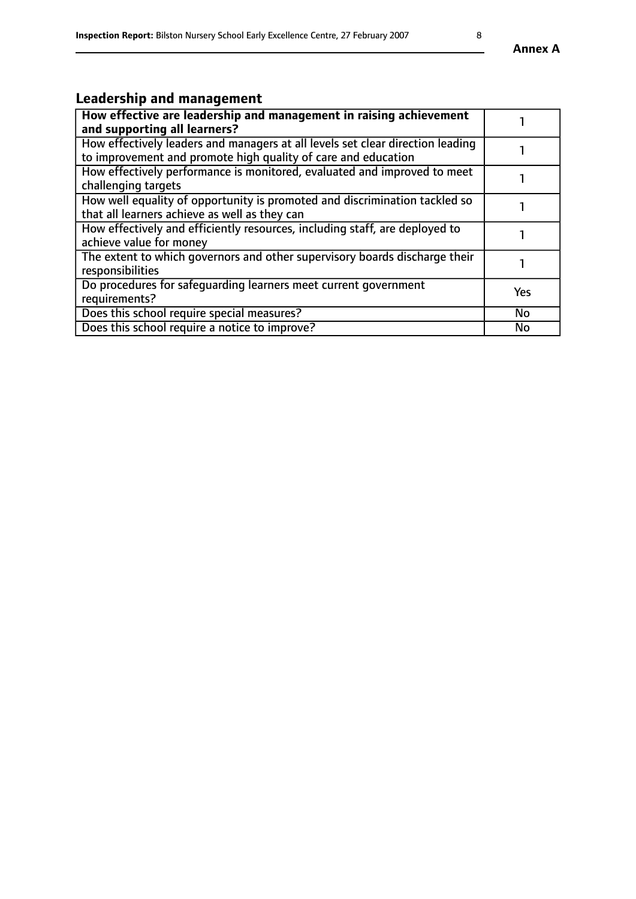# **Leadership and management**

| How effective are leadership and management in raising achievement<br>and supporting all learners?                                              |           |
|-------------------------------------------------------------------------------------------------------------------------------------------------|-----------|
| How effectively leaders and managers at all levels set clear direction leading<br>to improvement and promote high quality of care and education |           |
| How effectively performance is monitored, evaluated and improved to meet<br>challenging targets                                                 |           |
| How well equality of opportunity is promoted and discrimination tackled so<br>that all learners achieve as well as they can                     |           |
| How effectively and efficiently resources, including staff, are deployed to<br>achieve value for money                                          |           |
| The extent to which governors and other supervisory boards discharge their<br>responsibilities                                                  |           |
| Do procedures for safequarding learners meet current government<br>requirements?                                                                | Yes       |
| Does this school require special measures?                                                                                                      | <b>No</b> |
| Does this school require a notice to improve?                                                                                                   | No        |